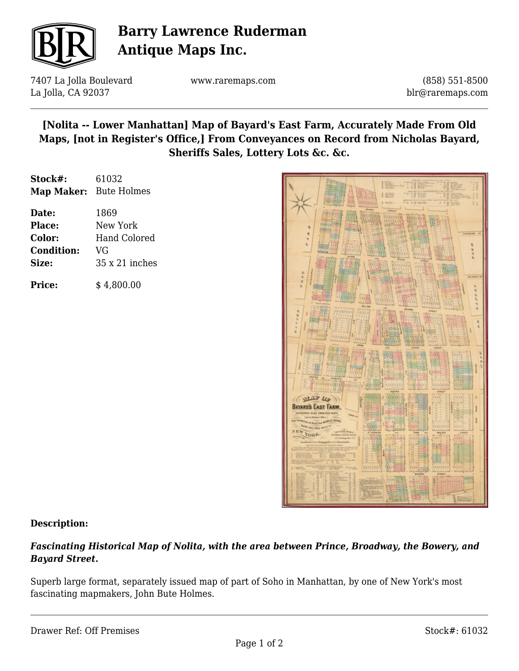

# **Barry Lawrence Ruderman Antique Maps Inc.**

7407 La Jolla Boulevard La Jolla, CA 92037

www.raremaps.com

(858) 551-8500 blr@raremaps.com

# **[Nolita -- Lower Manhattan] Map of Bayard's East Farm, Accurately Made From Old Maps, [not in Register's Office,] From Conveyances on Record from Nicholas Bayard, Sheriffs Sales, Lottery Lots &c. &c.**

| Stock#:                | 61032                 |
|------------------------|-----------------------|
| Map Maker: Bute Holmes |                       |
| Date:                  | 1869                  |
| Place:                 | New York              |
| Color:                 | <b>Hand Colored</b>   |
| <b>Condition:</b>      | VG                    |
| Size:                  | $35 \times 21$ inches |
| <b>Price:</b>          | \$4,800.00            |



### **Description:**

### *Fascinating Historical Map of Nolita, with the area between Prince, Broadway, the Bowery, and Bayard Street.*

Superb large format, separately issued map of part of Soho in Manhattan, by one of New York's most fascinating mapmakers, John Bute Holmes.